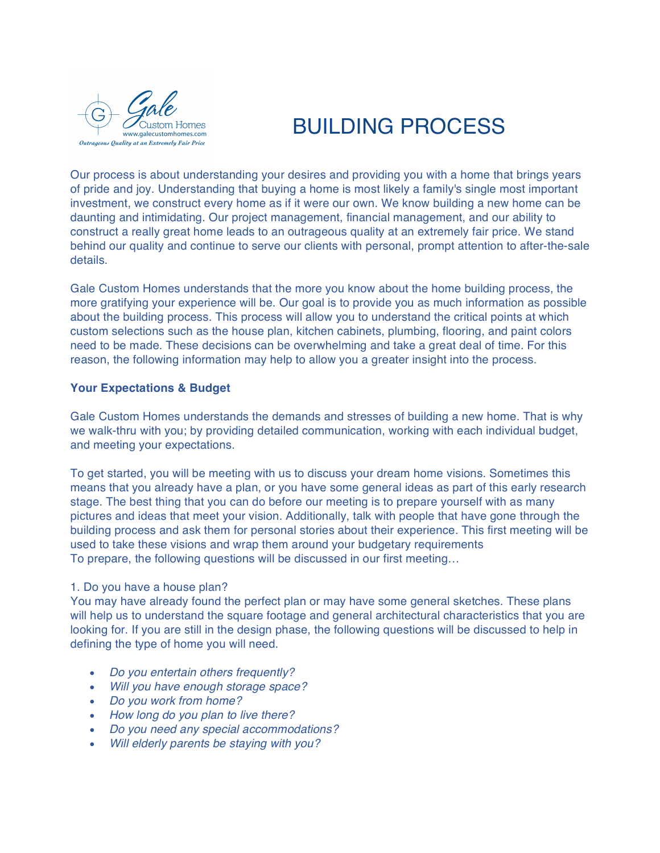

# BUILDING PROCESS

Our process is about understanding your desires and providing you with a home that brings years of pride and joy. Understanding that buying a home is most likely a family's single most important investment, we construct every home as if it were our own. We know building a new home can be daunting and intimidating. Our project management, financial management, and our ability to construct a really great home leads to an outrageous quality at an extremely fair price. We stand behind our quality and continue to serve our clients with personal, prompt attention to after-the-sale details.

Gale Custom Homes understands that the more you know about the home building process, the more gratifying your experience will be. Our goal is to provide you as much information as possible about the building process. This process will allow you to understand the critical points at which custom selections such as the house plan, kitchen cabinets, plumbing, flooring, and paint colors need to be made. These decisions can be overwhelming and take a great deal of time. For this reason, the following information may help to allow you a greater insight into the process.

## **Your Expectations & Budget**

Gale Custom Homes understands the demands and stresses of building a new home. That is why we walk-thru with you; by providing detailed communication, working with each individual budget, and meeting your expectations.

To get started, you will be meeting with us to discuss your dream home visions. Sometimes this means that you already have a plan, or you have some general ideas as part of this early research stage. The best thing that you can do before our meeting is to prepare yourself with as many pictures and ideas that meet your vision. Additionally, talk with people that have gone through the building process and ask them for personal stories about their experience. This first meeting will be used to take these visions and wrap them around your budgetary requirements To prepare, the following questions will be discussed in our first meeting…

## 1. Do you have a house plan?

You may have already found the perfect plan or may have some general sketches. These plans will help us to understand the square footage and general architectural characteristics that you are looking for. If you are still in the design phase, the following questions will be discussed to help in defining the type of home you will need.

- *Do you entertain others frequently?*
- *Will you have enough storage space?*
- *Do you work from home?*
- *How long do you plan to live there?*
- *Do you need any special accommodations?*
- *Will elderly parents be staying with you?*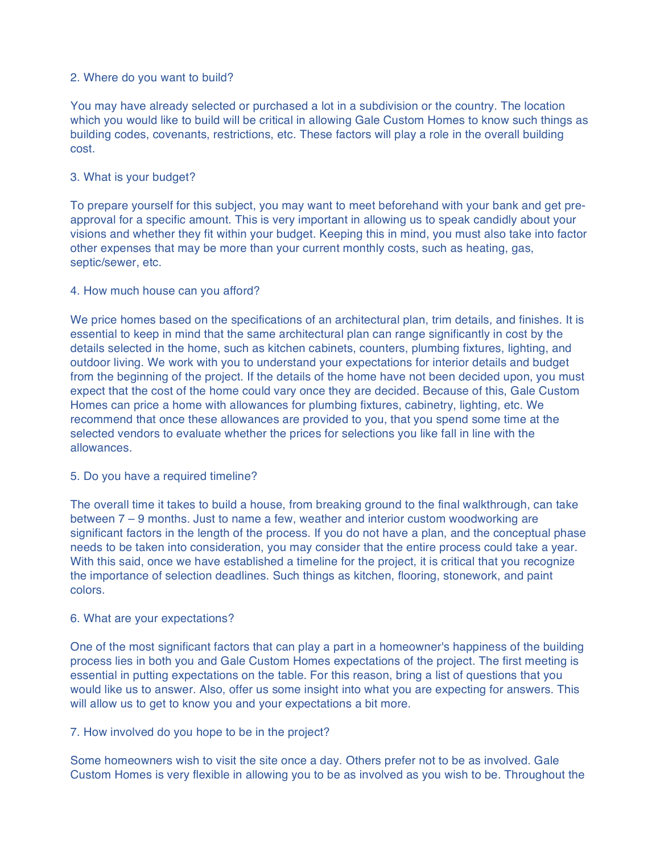## 2. Where do you want to build?

You may have already selected or purchased a lot in a subdivision or the country. The location which you would like to build will be critical in allowing Gale Custom Homes to know such things as building codes, covenants, restrictions, etc. These factors will play a role in the overall building cost.

# 3. What is your budget?

To prepare yourself for this subject, you may want to meet beforehand with your bank and get preapproval for a specific amount. This is very important in allowing us to speak candidly about your visions and whether they fit within your budget. Keeping this in mind, you must also take into factor other expenses that may be more than your current monthly costs, such as heating, gas, septic/sewer, etc.

## 4. How much house can you afford?

We price homes based on the specifications of an architectural plan, trim details, and finishes. It is essential to keep in mind that the same architectural plan can range significantly in cost by the details selected in the home, such as kitchen cabinets, counters, plumbing fixtures, lighting, and outdoor living. We work with you to understand your expectations for interior details and budget from the beginning of the project. If the details of the home have not been decided upon, you must expect that the cost of the home could vary once they are decided. Because of this, Gale Custom Homes can price a home with allowances for plumbing fixtures, cabinetry, lighting, etc. We recommend that once these allowances are provided to you, that you spend some time at the selected vendors to evaluate whether the prices for selections you like fall in line with the allowances.

## 5. Do you have a required timeline?

The overall time it takes to build a house, from breaking ground to the final walkthrough, can take between 7 – 9 months. Just to name a few, weather and interior custom woodworking are significant factors in the length of the process. If you do not have a plan, and the conceptual phase needs to be taken into consideration, you may consider that the entire process could take a year. With this said, once we have established a timeline for the project, it is critical that you recognize the importance of selection deadlines. Such things as kitchen, flooring, stonework, and paint colors.

## 6. What are your expectations?

One of the most significant factors that can play a part in a homeowner's happiness of the building process lies in both you and Gale Custom Homes expectations of the project. The first meeting is essential in putting expectations on the table. For this reason, bring a list of questions that you would like us to answer. Also, offer us some insight into what you are expecting for answers. This will allow us to get to know you and your expectations a bit more.

# 7. How involved do you hope to be in the project?

Some homeowners wish to visit the site once a day. Others prefer not to be as involved. Gale Custom Homes is very flexible in allowing you to be as involved as you wish to be. Throughout the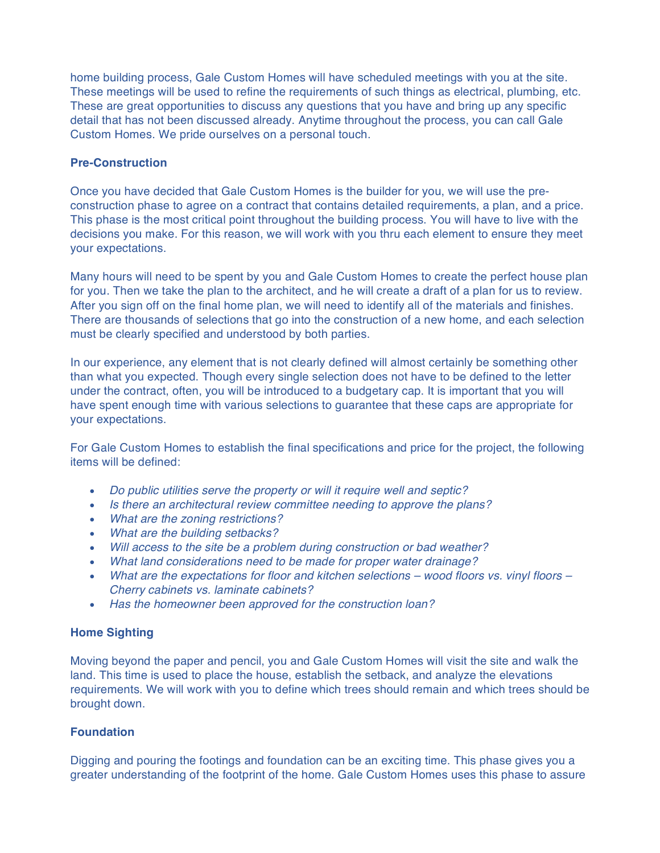home building process, Gale Custom Homes will have scheduled meetings with you at the site. These meetings will be used to refine the requirements of such things as electrical, plumbing, etc. These are great opportunities to discuss any questions that you have and bring up any specific detail that has not been discussed already. Anytime throughout the process, you can call Gale Custom Homes. We pride ourselves on a personal touch.

# **Pre-Construction**

Once you have decided that Gale Custom Homes is the builder for you, we will use the preconstruction phase to agree on a contract that contains detailed requirements, a plan, and a price. This phase is the most critical point throughout the building process. You will have to live with the decisions you make. For this reason, we will work with you thru each element to ensure they meet your expectations.

Many hours will need to be spent by you and Gale Custom Homes to create the perfect house plan for you. Then we take the plan to the architect, and he will create a draft of a plan for us to review. After you sign off on the final home plan, we will need to identify all of the materials and finishes. There are thousands of selections that go into the construction of a new home, and each selection must be clearly specified and understood by both parties.

In our experience, any element that is not clearly defined will almost certainly be something other than what you expected. Though every single selection does not have to be defined to the letter under the contract, often, you will be introduced to a budgetary cap. It is important that you will have spent enough time with various selections to guarantee that these caps are appropriate for your expectations.

For Gale Custom Homes to establish the final specifications and price for the project, the following items will be defined:

- *Do public utilities serve the property or will it require well and septic?*
- *Is there an architectural review committee needing to approve the plans?*
- *What are the zoning restrictions?*
- *What are the building setbacks?*
- *Will access to the site be a problem during construction or bad weather?*
- *What land considerations need to be made for proper water drainage?*
- *What are the expectations for floor and kitchen selections – wood floors vs. vinyl floors – Cherry cabinets vs. laminate cabinets?*
- *Has the homeowner been approved for the construction loan?*

## **Home Sighting**

Moving beyond the paper and pencil, you and Gale Custom Homes will visit the site and walk the land. This time is used to place the house, establish the setback, and analyze the elevations requirements. We will work with you to define which trees should remain and which trees should be brought down.

## **Foundation**

Digging and pouring the footings and foundation can be an exciting time. This phase gives you a greater understanding of the footprint of the home. Gale Custom Homes uses this phase to assure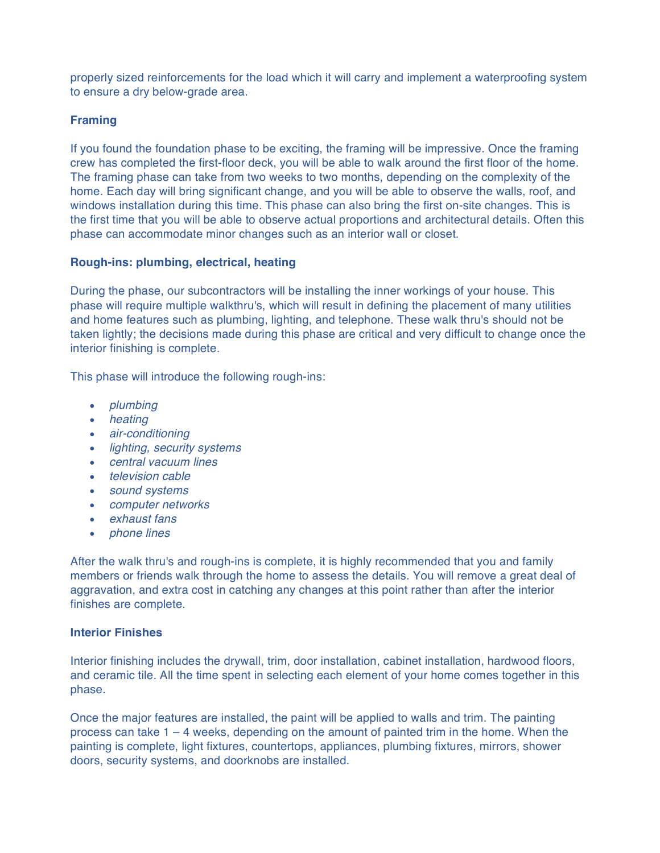properly sized reinforcements for the load which it will carry and implement a waterproofing system to ensure a dry below-grade area.

# **Framing**

If you found the foundation phase to be exciting, the framing will be impressive. Once the framing crew has completed the first-floor deck, you will be able to walk around the first floor of the home. The framing phase can take from two weeks to two months, depending on the complexity of the home. Each day will bring significant change, and you will be able to observe the walls, roof, and windows installation during this time. This phase can also bring the first on-site changes. This is the first time that you will be able to observe actual proportions and architectural details. Often this phase can accommodate minor changes such as an interior wall or closet.

## **Rough-ins: plumbing, electrical, heating**

During the phase, our subcontractors will be installing the inner workings of your house. This phase will require multiple walkthru's, which will result in defining the placement of many utilities and home features such as plumbing, lighting, and telephone. These walk thru's should not be taken lightly; the decisions made during this phase are critical and very difficult to change once the interior finishing is complete.

This phase will introduce the following rough-ins:

- *plumbing*
- *heating*
- *air-conditioning*
- *lighting, security systems*
- *central vacuum lines*
- *television cable*
- *sound systems*
- *computer networks*
- *exhaust fans*
- *phone lines*

After the walk thru's and rough-ins is complete, it is highly recommended that you and family members or friends walk through the home to assess the details. You will remove a great deal of aggravation, and extra cost in catching any changes at this point rather than after the interior finishes are complete.

## **Interior Finishes**

Interior finishing includes the drywall, trim, door installation, cabinet installation, hardwood floors, and ceramic tile. All the time spent in selecting each element of your home comes together in this phase.

Once the major features are installed, the paint will be applied to walls and trim. The painting process can take  $1 - 4$  weeks, depending on the amount of painted trim in the home. When the painting is complete, light fixtures, countertops, appliances, plumbing fixtures, mirrors, shower doors, security systems, and doorknobs are installed.